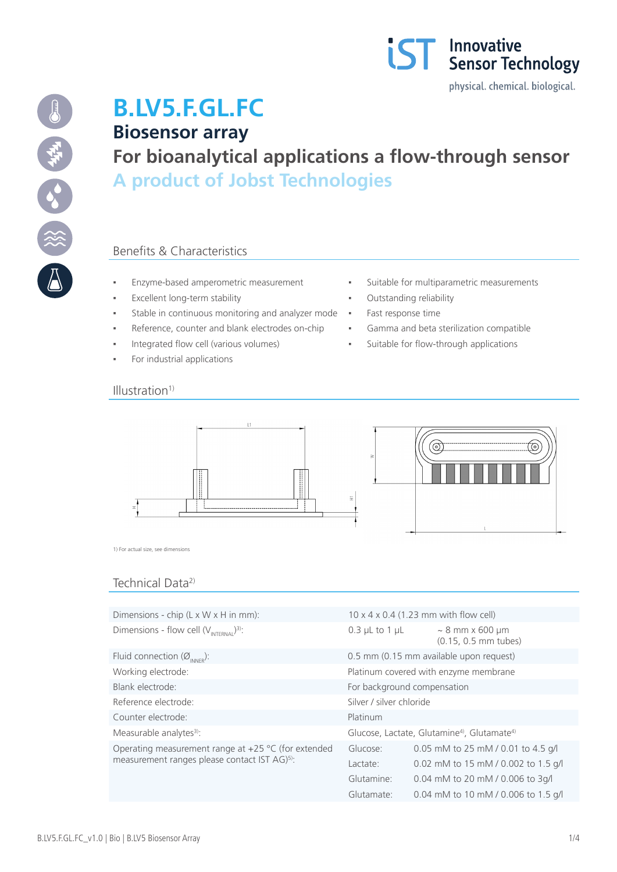



# **B.LV5.F.GL.FC Biosensor array For bioanalytical applications a flow-through sensor A product of Jobst Technologies**

## Benefits & Characteristics

- 
- Excellent long-term stability  $\qquad \qquad \bullet$  Outstanding reliability
- Stable in continuous monitoring and analyzer mode · Fast response time
- Reference, counter and blank electrodes on-chip **·** Gamma and beta sterilization compatible
- Integrated flow cell (various volumes) Suitable for flow-through applications
- For industrial applications

#### $Illustration<sup>1</sup>$

- Enzyme-based amperometric measurement **·** Suitable for multiparametric measurements
	-
	-
	-
	-



1) For actual size, see dimensions

## Technical Data<sup>2)</sup>

| Dimensions - chip $(L \times W \times H)$ in mm):                                                                  | $10 \times 4 \times 0.4$ (1.23 mm with flow cell)                  |                                              |  |
|--------------------------------------------------------------------------------------------------------------------|--------------------------------------------------------------------|----------------------------------------------|--|
| Dimensions - flow cell $(V_{\text{INTERMAI}})^3$ :                                                                 | $0.3$ µL to 1 µL                                                   | $\sim$ 8 mm x 600 µm<br>(0.15, 0.5 mm tubes) |  |
| Fluid connection ( $\varnothing_{\text{INNER}}$ ):                                                                 | 0.5 mm (0.15 mm available upon request)                            |                                              |  |
| Working electrode:                                                                                                 | Platinum covered with enzyme membrane                              |                                              |  |
| Blank electrode:                                                                                                   | For background compensation                                        |                                              |  |
| Reference electrode:                                                                                               | Silver / silver chloride                                           |                                              |  |
| Counter electrode:                                                                                                 | Platinum                                                           |                                              |  |
| Measurable analytes <sup>3)</sup> :                                                                                | Glucose, Lactate, Glutamine <sup>4</sup> , Glutamate <sup>4)</sup> |                                              |  |
| Operating measurement range at $+25$ °C (for extended<br>measurement ranges please contact IST AG) <sup>5)</sup> : | Glucose:                                                           | 0.05 mM to 25 mM / 0.01 to 4.5 g/l           |  |
|                                                                                                                    | Lactate:                                                           | 0.02 mM to 15 mM / 0.002 to 1.5 g/l          |  |
|                                                                                                                    | Glutamine:                                                         | 0.04 mM to 20 mM / 0.006 to 3g/l             |  |
|                                                                                                                    | Glutamate:                                                         | 0.04 mM to 10 mM / 0.006 to 1.5 g/l          |  |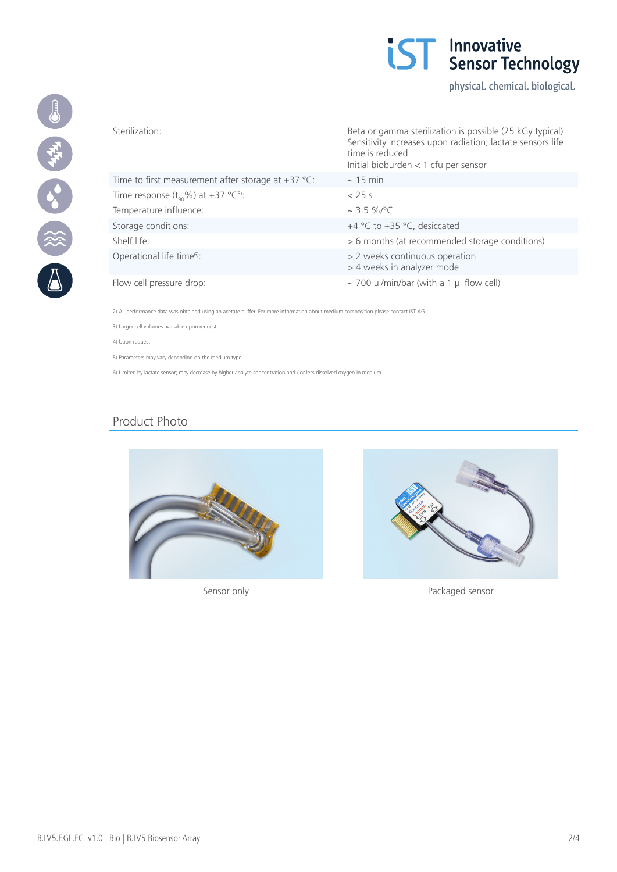

physical. chemical. biological.



|                                                            | Sensitivity increases upon radiation; lactate sensors life<br>time is reduced<br>Initial bioburden $<$ 1 cfu per sensor |  |
|------------------------------------------------------------|-------------------------------------------------------------------------------------------------------------------------|--|
| Time to first measurement after storage at $+37$ °C:       | $\sim$ 15 min                                                                                                           |  |
| Time response $(t_{\alpha} \% )$ at +37 °C <sup>5)</sup> : | $<$ 25 s                                                                                                                |  |
| Temperature influence:                                     | $\sim$ 3.5 %/°C                                                                                                         |  |
| Storage conditions:                                        | +4 °C to +35 °C, desiccated                                                                                             |  |
| Shelf life:                                                | > 6 months (at recommended storage conditions)                                                                          |  |
| Operational life time <sup>6)</sup> :                      | > 2 weeks continuous operation<br>> 4 weeks in analyzer mode                                                            |  |
| Flow cell pressure drop:                                   | $\sim$ 700 µl/min/bar (with a 1 µl flow cell)                                                                           |  |

Sterilization: Beta or gamma sterilization is possible (25 kGy typical)

2) All performance data was obtained using an acetate buffer. For more information about medium composition please contact IST AG

3) Larger cell volumes available upon request

4) Upon request

5) Parameters may vary depending on the medium type

6) Limited by lactate sensor; may decrease by higher analyte concentration and / or less dissolved oxygen in medium

## Product Photo





Sensor only **Packaged sensor**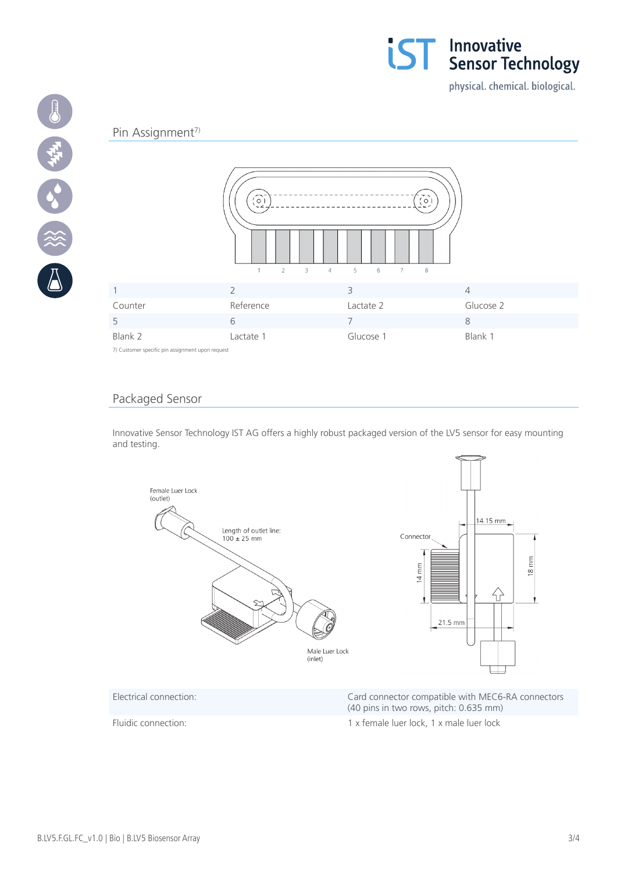

physical. chemical. biological.

#### Pin Assignment<sup>7)</sup>

19 中午 38 後



7) Customer specific pin assignment upon request

### Packaged Sensor

Innovative Sensor Technology IST AG offers a highly robust packaged version of the LV5 sensor for easy mounting and testing.



(40 pins in two rows, pitch: 0.635 mm)

Fluidic connection: 1 x female luer lock, 1 x male luer lock